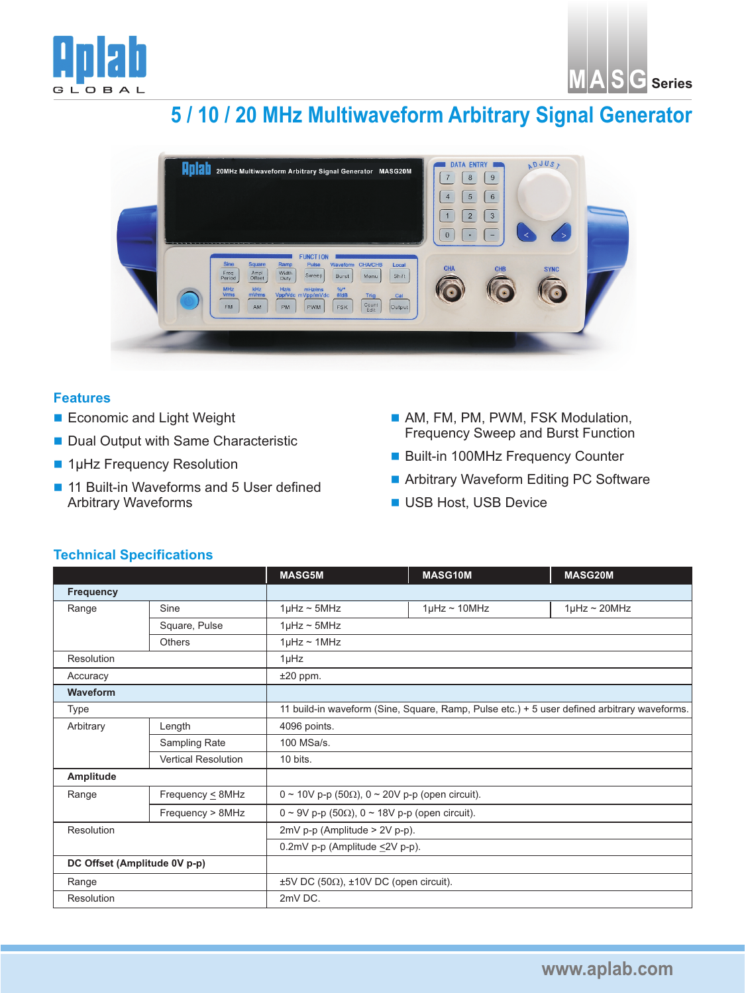



## **5 / 10 / 20 MHz Multiwaveform Arbitrary Signal Generator**



## **Features**

- **Economic and Light Weight**
- Dual Output with Same Characteristic
- 1µHz Frequency Resolution
- 11 Built-in Waveforms and 5 User defined Arbitrary Waveforms
- AM, FM, PM, PWM, FSK Modulation, Frequency Sweep and Burst Function
- Built-in 100MHz Frequency Counter
- Arbitrary Waveform Editing PC Software
- **USB Host, USB Device**

## **Technical Specifications**

|                              |                            | <b>MASG5M</b>                                                                               | <b>MASG10M</b>       | <b>MASG20M</b>    |  |
|------------------------------|----------------------------|---------------------------------------------------------------------------------------------|----------------------|-------------------|--|
| <b>Frequency</b>             |                            |                                                                                             |                      |                   |  |
| Range                        | Sine                       | $1\mu$ Hz ~ 5MHz                                                                            | $1\mu$ Hz ~ $10$ MHz | $1\mu$ Hz ~ 20MHz |  |
|                              | Square, Pulse              | $1\mu$ Hz ~ 5MHz                                                                            |                      |                   |  |
|                              | Others                     | $1\mu$ Hz ~ $1\text{MHz}$                                                                   |                      |                   |  |
| Resolution                   |                            | $1\mu$ Hz                                                                                   |                      |                   |  |
| Accuracy                     |                            | $±20$ ppm.                                                                                  |                      |                   |  |
| Waveform                     |                            |                                                                                             |                      |                   |  |
| Type                         |                            | 11 build-in waveform (Sine, Square, Ramp, Pulse etc.) + 5 user defined arbitrary waveforms. |                      |                   |  |
| Arbitrary                    | Length                     | 4096 points.                                                                                |                      |                   |  |
|                              | Sampling Rate              | 100 MSa/s.                                                                                  |                      |                   |  |
|                              | <b>Vertical Resolution</b> | 10 bits.                                                                                    |                      |                   |  |
| Amplitude                    |                            |                                                                                             |                      |                   |  |
| Range                        | Frequency $\leq 8$ MHz     | 0 ~ 10V p-p (50 $\Omega$ ), 0 ~ 20V p-p (open circuit).                                     |                      |                   |  |
|                              | Frequency > 8MHz           | $0 \sim 9V$ p-p (50 $\Omega$ ), $0 \sim 18V$ p-p (open circuit).                            |                      |                   |  |
| Resolution                   |                            | $2mV$ p-p (Amplitude > $2V$ p-p).                                                           |                      |                   |  |
|                              |                            | 0.2mV p-p (Amplitude ≤2V p-p).                                                              |                      |                   |  |
| DC Offset (Amplitude 0V p-p) |                            |                                                                                             |                      |                   |  |
| Range                        |                            | $\pm 5V$ DC (50 $\Omega$ ), $\pm 10V$ DC (open circuit).                                    |                      |                   |  |
| Resolution                   |                            | 2mV DC.                                                                                     |                      |                   |  |